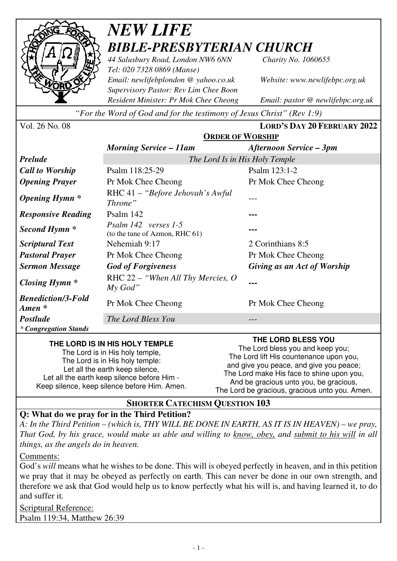

## *NEW LIFE BIBLE-PRESBYTERIAN CHURCH*

*44 Salusbury Road, London NW6 6NN Charity No. 1060655 Tel: 020 7328 0869 (Manse) Email: newlifebplondon @ yahoo.co.uk Website: www.newlifebpc.org.uk Supervisory Pastor: Rev Lim Chee Boon Resident Minister: Pr Mok Chee Cheong Email: pastor @ newlifebpc.org.uk* 

*"For the Word of God and for the testimony of Jesus Christ" (Rev 1:9)*

| Vol. 26 No. 08                      |                                                        | <b>LORD'S DAY 20 FEBRUARY 2022</b> |  |
|-------------------------------------|--------------------------------------------------------|------------------------------------|--|
|                                     | <b>ORDER OF WORSHIP</b>                                |                                    |  |
|                                     | <b>Morning Service – 11am</b>                          | Afternoon Service – 3pm            |  |
| <b>Prelude</b>                      | The Lord Is in His Holy Temple                         |                                    |  |
| <b>Call to Worship</b>              | Psalm 118:25-29                                        | Psalm 123:1-2                      |  |
| <b>Opening Prayer</b>               | Pr Mok Chee Cheong                                     | Pr Mok Chee Cheong                 |  |
| <b>Opening Hymn</b> *               | RHC 41 - "Before Jehovah's Awful<br>Throne"            |                                    |  |
| <b>Responsive Reading</b>           | Psalm 142                                              |                                    |  |
| Second Hymn <sup>*</sup>            | Psalm 142 verses 1-5<br>(to the tune of Azmon, RHC 61) |                                    |  |
| <b>Scriptural Text</b>              | Nehemiah 9:17                                          | 2 Corinthians 8:5                  |  |
| <b>Pastoral Prayer</b>              | Pr Mok Chee Cheong                                     | Pr Mok Chee Cheong                 |  |
| <b>Sermon Message</b>               | <b>God of Forgiveness</b>                              | Giving as an Act of Worship        |  |
| <b>Closing Hymn</b> *               | RHC $22 -$ "When All Thy Mercies, O<br>$My$ God"       |                                    |  |
| <b>Benediction/3-Fold</b><br>Amen * | Pr Mok Chee Cheong                                     | Pr Mok Chee Cheong                 |  |
| <b>Postlude</b>                     | The Lord Bless You                                     |                                    |  |
| <i>* Congregation Stands</i>        |                                                        |                                    |  |
|                                     | THE LORD IS IN HIS HOLV TEMPLE                         | THE LORD BLESS YOU                 |  |

#### **THE LORD IS IN HIS HOLY TEMPLE**

The Lord is in His holy temple, The Lord is in His holy temple: Let all the earth keep silence. Let all the earth keep silence before Him - Keep silence, keep silence before Him. Amen.

The Lord bless you and keep you; The Lord lift His countenance upon you, and give you peace, and give you peace; The Lord make His face to shine upon you, And be gracious unto you, be gracious, The Lord be gracious, gracious unto you. Amen.

#### **SHORTER CATECHISM QUESTION 103**

#### **Q: What do we pray for in the Third Petition?**

*A: In the Third Petition – (which is, THY WILL BE DONE IN EARTH, AS IT IS IN HEAVEN) – we pray, That God, by his grace, would make us able and willing to know, obey, and submit to his will in all things, as the angels do in heaven.* 

Comments:

God's *will* means what he wishes to be done. This will is obeyed perfectly in heaven, and in this petition we pray that it may be obeyed as perfectly on earth. This can never be done in our own strength, and therefore we ask that God would help us to know perfectly what his will is, and having learned it, to do and suffer it*.*

Scriptural Reference: Psalm 119:34, Matthew 26:39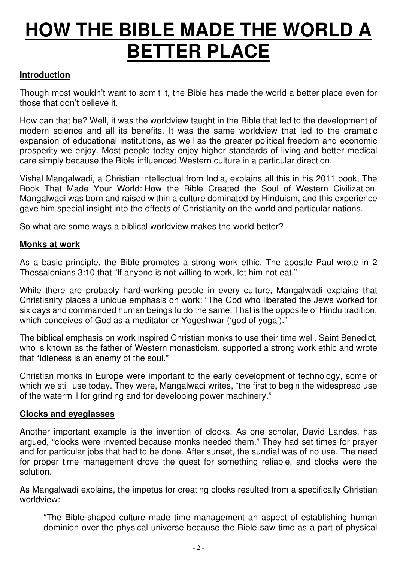# **HOW THE BIBLE MADE THE WORLD A BETTER PLACE**

#### **Introduction**

Though most wouldn't want to admit it, the Bible has made the world a better place even for those that don't believe it.

How can that be? Well, it was the worldview taught in the Bible that led to the development of modern science and all its benefits. It was the same worldview that led to the dramatic expansion of educational institutions, as well as the greater political freedom and economic prosperity we enjoy. Most people today enjoy higher standards of living and better medical care simply because the Bible influenced Western culture in a particular direction.

Vishal Mangalwadi, a Christian intellectual from India, explains all this in his 2011 book, The Book That Made Your World: How the Bible Created the Soul of Western Civilization. Mangalwadi was born and raised within a culture dominated by Hinduism, and this experience gave him special insight into the effects of Christianity on the world and particular nations.

So what are some ways a biblical worldview makes the world better?

#### **Monks at work**

As a basic principle, the Bible promotes a strong work ethic. The apostle Paul wrote in 2 Thessalonians 3:10 that "If anyone is not willing to work, let him not eat."

While there are probably hard-working people in every culture, Mangalwadi explains that Christianity places a unique emphasis on work: "The God who liberated the Jews worked for six days and commanded human beings to do the same. That is the opposite of Hindu tradition, which conceives of God as a meditator or Yogeshwar ('god of yoga')."

The biblical emphasis on work inspired Christian monks to use their time well. Saint Benedict, who is known as the father of Western monasticism, supported a strong work ethic and wrote that "Idleness is an enemy of the soul."

Christian monks in Europe were important to the early development of technology, some of which we still use today. They were, Mangalwadi writes, "the first to begin the widespread use of the watermill for grinding and for developing power machinery."

#### **Clocks and eyeglasses**

Another important example is the invention of clocks. As one scholar, David Landes, has argued, "clocks were invented because monks needed them." They had set times for prayer and for particular jobs that had to be done. After sunset, the sundial was of no use. The need for proper time management drove the quest for something reliable, and clocks were the solution.

As Mangalwadi explains, the impetus for creating clocks resulted from a specifically Christian worldview:

"The Bible-shaped culture made time management an aspect of establishing human dominion over the physical universe because the Bible saw time as a part of physical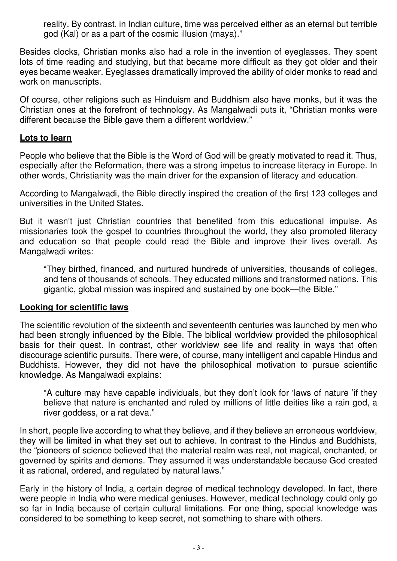reality. By contrast, in Indian culture, time was perceived either as an eternal but terrible god (Kal) or as a part of the cosmic illusion (maya)."

Besides clocks, Christian monks also had a role in the invention of eyeglasses. They spent lots of time reading and studying, but that became more difficult as they got older and their eyes became weaker. Eyeglasses dramatically improved the ability of older monks to read and work on manuscripts.

Of course, other religions such as Hinduism and Buddhism also have monks, but it was the Christian ones at the forefront of technology. As Mangalwadi puts it, "Christian monks were different because the Bible gave them a different worldview."

#### **Lots to learn**

People who believe that the Bible is the Word of God will be greatly motivated to read it. Thus, especially after the Reformation, there was a strong impetus to increase literacy in Europe. In other words, Christianity was the main driver for the expansion of literacy and education.

According to Mangalwadi, the Bible directly inspired the creation of the first 123 colleges and universities in the United States.

But it wasn't just Christian countries that benefited from this educational impulse. As missionaries took the gospel to countries throughout the world, they also promoted literacy and education so that people could read the Bible and improve their lives overall. As Mangalwadi writes:

"They birthed, financed, and nurtured hundreds of universities, thousands of colleges, and tens of thousands of schools. They educated millions and transformed nations. This gigantic, global mission was inspired and sustained by one book—the Bible."

#### **Looking for scientific laws**

The scientific revolution of the sixteenth and seventeenth centuries was launched by men who had been strongly influenced by the Bible. The biblical worldview provided the philosophical basis for their quest. In contrast, other worldview see life and reality in ways that often discourage scientific pursuits. There were, of course, many intelligent and capable Hindus and Buddhists. However, they did not have the philosophical motivation to pursue scientific knowledge. As Mangalwadi explains:

"A culture may have capable individuals, but they don't look for 'laws of nature 'if they believe that nature is enchanted and ruled by millions of little deities like a rain god, a river goddess, or a rat deva."

In short, people live according to what they believe, and if they believe an erroneous worldview, they will be limited in what they set out to achieve. In contrast to the Hindus and Buddhists, the "pioneers of science believed that the material realm was real, not magical, enchanted, or governed by spirits and demons. They assumed it was understandable because God created it as rational, ordered, and regulated by natural laws."

Early in the history of India, a certain degree of medical technology developed. In fact, there were people in India who were medical geniuses. However, medical technology could only go so far in India because of certain cultural limitations. For one thing, special knowledge was considered to be something to keep secret, not something to share with others.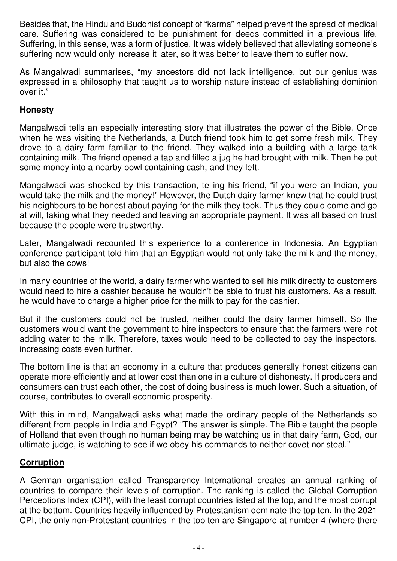Besides that, the Hindu and Buddhist concept of "karma" helped prevent the spread of medical care. Suffering was considered to be punishment for deeds committed in a previous life. Suffering, in this sense, was a form of justice. It was widely believed that alleviating someone's suffering now would only increase it later, so it was better to leave them to suffer now.

As Mangalwadi summarises, "my ancestors did not lack intelligence, but our genius was expressed in a philosophy that taught us to worship nature instead of establishing dominion over it."

#### **Honesty**

Mangalwadi tells an especially interesting story that illustrates the power of the Bible. Once when he was visiting the Netherlands, a Dutch friend took him to get some fresh milk. They drove to a dairy farm familiar to the friend. They walked into a building with a large tank containing milk. The friend opened a tap and filled a jug he had brought with milk. Then he put some money into a nearby bowl containing cash, and they left.

Mangalwadi was shocked by this transaction, telling his friend, "if you were an Indian, you would take the milk and the money!" However, the Dutch dairy farmer knew that he could trust his neighbours to be honest about paying for the milk they took. Thus they could come and go at will, taking what they needed and leaving an appropriate payment. It was all based on trust because the people were trustworthy.

Later, Mangalwadi recounted this experience to a conference in Indonesia. An Egyptian conference participant told him that an Egyptian would not only take the milk and the money, but also the cows!

In many countries of the world, a dairy farmer who wanted to sell his milk directly to customers would need to hire a cashier because he wouldn't be able to trust his customers. As a result, he would have to charge a higher price for the milk to pay for the cashier.

But if the customers could not be trusted, neither could the dairy farmer himself. So the customers would want the government to hire inspectors to ensure that the farmers were not adding water to the milk. Therefore, taxes would need to be collected to pay the inspectors, increasing costs even further.

The bottom line is that an economy in a culture that produces generally honest citizens can operate more efficiently and at lower cost than one in a culture of dishonesty. If producers and consumers can trust each other, the cost of doing business is much lower. Such a situation, of course, contributes to overall economic prosperity.

With this in mind, Mangalwadi asks what made the ordinary people of the Netherlands so different from people in India and Egypt? "The answer is simple. The Bible taught the people of Holland that even though no human being may be watching us in that dairy farm, God, our ultimate judge, is watching to see if we obey his commands to neither covet nor steal."

#### **Corruption**

A German organisation called Transparency International creates an annual ranking of countries to compare their levels of corruption. The ranking is called the Global Corruption Perceptions Index (CPI), with the least corrupt countries listed at the top, and the most corrupt at the bottom. Countries heavily influenced by Protestantism dominate the top ten. In the 2021 CPI, the only non-Protestant countries in the top ten are Singapore at number 4 (where there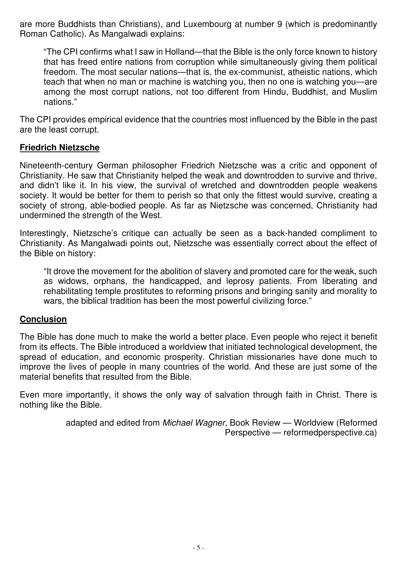are more Buddhists than Christians), and Luxembourg at number 9 (which is predominantly Roman Catholic). As Mangalwadi explains:

"The CPI confirms what I saw in Holland—that the Bible is the only force known to history that has freed entire nations from corruption while simultaneously giving them political freedom. The most secular nations—that is, the ex-communist, atheistic nations, which teach that when no man or machine is watching you, then no one is watching you—are among the most corrupt nations, not too different from Hindu, Buddhist, and Muslim nations."

The CPI provides empirical evidence that the countries most influenced by the Bible in the past are the least corrupt.

#### **Friedrich Nietzsche**

Nineteenth-century German philosopher Friedrich Nietzsche was a critic and opponent of Christianity. He saw that Christianity helped the weak and downtrodden to survive and thrive, and didn't like it. In his view, the survival of wretched and downtrodden people weakens society. It would be better for them to perish so that only the fittest would survive, creating a society of strong, able-bodied people. As far as Nietzsche was concerned, Christianity had undermined the strength of the West.

Interestingly, Nietzsche's critique can actually be seen as a back-handed compliment to Christianity. As Mangalwadi points out, Nietzsche was essentially correct about the effect of the Bible on history:

"It drove the movement for the abolition of slavery and promoted care for the weak, such as widows, orphans, the handicapped, and leprosy patients. From liberating and rehabilitating temple prostitutes to reforming prisons and bringing sanity and morality to wars, the biblical tradition has been the most powerful civilizing force."

#### **Conclusion**

The Bible has done much to make the world a better place. Even people who reject it benefit from its effects. The Bible introduced a worldview that initiated technological development, the spread of education, and economic prosperity. Christian missionaries have done much to improve the lives of people in many countries of the world. And these are just some of the material benefits that resulted from the Bible.

Even more importantly, it shows the only way of salvation through faith in Christ. There is nothing like the Bible.

> adapted and edited from Michael Wagner, Book Review — Worldview (Reformed Perspective — reformedperspective.ca)